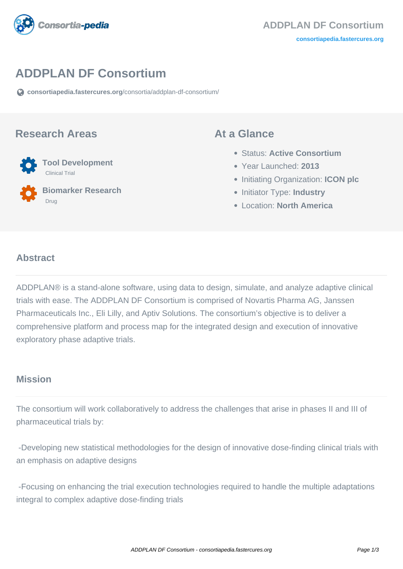

# **ADDPLAN DF Consortium**

**[consortiapedia.fastercures.org](https://consortiapedia.fastercures.org/consortia/addplan-df-consortium/)**[/consortia/addplan-df-consortium/](https://consortiapedia.fastercures.org/consortia/addplan-df-consortium/)

#### **Research Areas**



 **Biomarker Research** Drug

#### **At a Glance**

- Status: **Active Consortium**
- Year Launched: **2013**
- **Initiating Organization: ICON plc**
- **Initiator Type: Industry**
- Location: **North America**

#### $\overline{a}$ **Abstract**

ADDPLAN® is a stand-alone software, using data to design, simulate, and analyze adaptive clinical trials with ease. The ADDPLAN DF Consortium is comprised of Novartis Pharma AG, Janssen Pharmaceuticals Inc., Eli Lilly, and Aptiv Solutions. The consortium's objective is to deliver a comprehensive platform and process map for the integrated design and execution of innovative exploratory phase adaptive trials.

## **Mission**

The consortium will work collaboratively to address the challenges that arise in phases II and III of pharmaceutical trials by:

 -Developing new statistical methodologies for the design of innovative dose-finding clinical trials with an emphasis on adaptive designs

 -Focusing on enhancing the trial execution technologies required to handle the multiple adaptations integral to complex adaptive dose-finding trials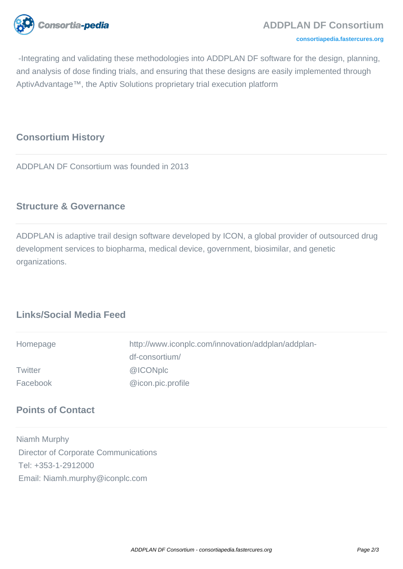

#### **[consortiapedia.fastercures.org](http://consortiapedia.fastercures.org/)**

 -Integrating and validating these methodologies into ADDPLAN DF software for the design, planning, and analysis of dose finding trials, and ensuring that these designs are easily implemented through AptivAdvantage™, the Aptiv Solutions proprietary trial execution platform

### **Consortium History**

ADDPLAN DF Consortium was founded in 2013

#### **Structure & Governance**

ADDPLAN is adaptive trail design software developed by ICON, a global provider of outsourced drug development services to biopharma, medical device, government, biosimilar, and genetic organizations.

## **Links/Social Media Feed**

| Homepage       | http://www.iconplc.com/innovation/addplan/addplan- |
|----------------|----------------------------------------------------|
|                | df-consortium/                                     |
| <b>Twitter</b> | @ICONplc                                           |
| Facebook       | @icon.pic.profile                                  |

#### **Points of Contact**

Niamh Murphy Director of Corporate Communications Tel: +353-1-2912000 Email: Niamh.murphy@iconplc.com